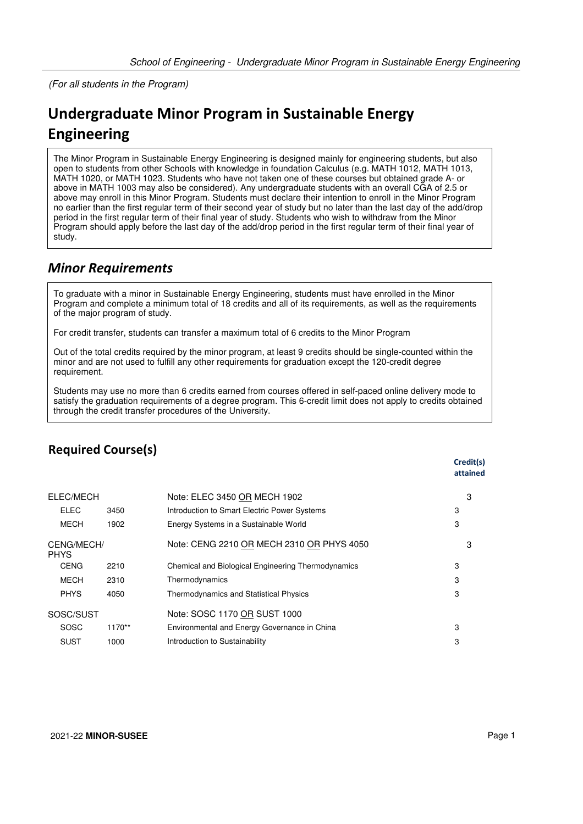(For all students in the Program)

## **Undergraduate Minor Program in Sustainable Energy Engineering**

The Minor Program in Sustainable Energy Engineering is designed mainly for engineering students, but also open to students from other Schools with knowledge in foundation Calculus (e.g. MATH 1012, MATH 1013, MATH 1020, or MATH 1023. Students who have not taken one of these courses but obtained grade A- or above in MATH 1003 may also be considered). Any undergraduate students with an overall CGA of 2.5 or above may enroll in this Minor Program. Students must declare their intention to enroll in the Minor Program no earlier than the first regular term of their second year of study but no later than the last day of the add/drop period in the first regular term of their final year of study. Students who wish to withdraw from the Minor Program should apply before the last day of the add/drop period in the first regular term of their final year of study.

## *Minor Requirements*

To graduate with a minor in Sustainable Energy Engineering, students must have enrolled in the Minor Program and complete a minimum total of 18 credits and all of its requirements, as well as the requirements of the major program of study.

For credit transfer, students can transfer a maximum total of 6 credits to the Minor Program

Out of the total credits required by the minor program, at least 9 credits should be single-counted within the minor and are not used to fulfill any other requirements for graduation except the 120-credit degree requirement.

Students may use no more than 6 credits earned from courses offered in self-paced online delivery mode to satisfy the graduation requirements of a degree program. This 6-credit limit does not apply to credits obtained through the credit transfer procedures of the University.

|                           |      |                                                    | <b>Cred</b><br>attai |
|---------------------------|------|----------------------------------------------------|----------------------|
| ELEC/MECH                 |      | Note: ELEC 3450 OR MECH 1902                       | 3                    |
| <b>ELEC</b>               | 3450 | Introduction to Smart Electric Power Systems       | 3                    |
| MECH                      | 1902 | Energy Systems in a Sustainable World              | 3                    |
| CENG/MECH/<br><b>PHYS</b> |      | Note: CENG 2210 OR MECH 2310 OR PHYS 4050          | 3                    |
| <b>CENG</b>               | 2210 | Chemical and Biological Engineering Thermodynamics | 3                    |

## **Required Course(s)**

| ᄂᄂᄂ                       | ט+טע     | <b>INTERNATIONAL CONTROL CONTROL</b> OWER OVSIGITS | ັ |
|---------------------------|----------|----------------------------------------------------|---|
| <b>MECH</b>               | 1902     | Energy Systems in a Sustainable World              | 3 |
| CENG/MECH/<br><b>PHYS</b> |          | Note: CENG 2210 OR MECH 2310 OR PHYS 4050          | З |
| <b>CENG</b>               | 2210     | Chemical and Biological Engineering Thermodynamics | 3 |
| <b>MECH</b>               | 2310     | Thermodynamics                                     | 3 |
| <b>PHYS</b>               | 4050     | <b>Thermodynamics and Statistical Physics</b>      | 3 |
| SOSC/SUST                 |          | Note: SOSC 1170 OR SUST 1000                       |   |
| <b>SOSC</b>               | $1170**$ | Environmental and Energy Governance in China       | 3 |
| <b>SUST</b>               | 1000     | Introduction to Sustainability                     | 3 |

**Credit(s) attained**